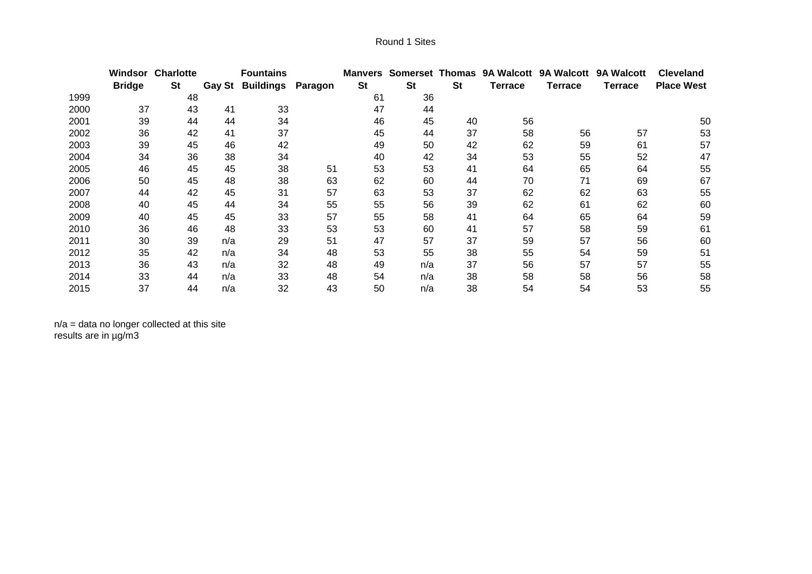|      | Windsor       | <b>Charlotte</b> |               | <b>Fountains</b> |         | Manvers   |           |           |                | Somerset Thomas 9A Walcott 9A Walcott 9A Walcott |         | <b>Cleveland</b>  |
|------|---------------|------------------|---------------|------------------|---------|-----------|-----------|-----------|----------------|--------------------------------------------------|---------|-------------------|
|      | <b>Bridge</b> | <b>St</b>        | <b>Gay St</b> | <b>Buildings</b> | Paragon | <b>St</b> | <b>St</b> | <b>St</b> | <b>Terrace</b> | <b>Terrace</b>                                   | Terrace | <b>Place West</b> |
| 1999 |               | 48               |               |                  |         | 61        | 36        |           |                |                                                  |         |                   |
| 2000 | 37            | 43               | 41            | 33               |         | 47        | 44        |           |                |                                                  |         |                   |
| 2001 | 39            | 44               | 44            | 34               |         | 46        | 45        | 40        | 56             |                                                  |         | 50                |
| 2002 | 36            | 42               | 41            | 37               |         | 45        | 44        | 37        | 58             | 56                                               | 57      | 53                |
| 2003 | 39            | 45               | 46            | 42               |         | 49        | 50        | 42        | 62             | 59                                               | 61      | 57                |
| 2004 | 34            | 36               | 38            | 34               |         | 40        | 42        | 34        | 53             | 55                                               | 52      | 47                |
| 2005 | 46            | 45               | 45            | 38               | 51      | 53        | 53        | 41        | 64             | 65                                               | 64      | 55                |
| 2006 | 50            | 45               | 48            | 38               | 63      | 62        | 60        | 44        | 70             | 71                                               | 69      | 67                |
| 2007 | 44            | 42               | 45            | 31               | 57      | 63        | 53        | 37        | 62             | 62                                               | 63      | 55                |
| 2008 | 40            | 45               | 44            | 34               | 55      | 55        | 56        | 39        | 62             | 61                                               | 62      | 60                |
| 2009 | 40            | 45               | 45            | 33               | 57      | 55        | 58        | 41        | 64             | 65                                               | 64      | 59                |
| 2010 | 36            | 46               | 48            | 33               | 53      | 53        | 60        | 41        | 57             | 58                                               | 59      | 61                |
| 2011 | 30            | 39               | n/a           | 29               | 51      | 47        | 57        | 37        | 59             | 57                                               | 56      | 60                |
| 2012 | 35            | 42               | n/a           | 34               | 48      | 53        | 55        | 38        | 55             | 54                                               | 59      | 51                |
| 2013 | 36            | 43               | n/a           | 32               | 48      | 49        | n/a       | 37        | 56             | 57                                               | 57      | 55                |
| 2014 | 33            | 44               | n/a           | 33               | 48      | 54        | n/a       | 38        | 58             | 58                                               | 56      | 58                |
| 2015 | 37            | 44               | n/a           | 32               | 43      | 50        | n/a       | 38        | 54             | 54                                               | 53      | 55                |

n/a = data no longer collected at this site results are in µg/m3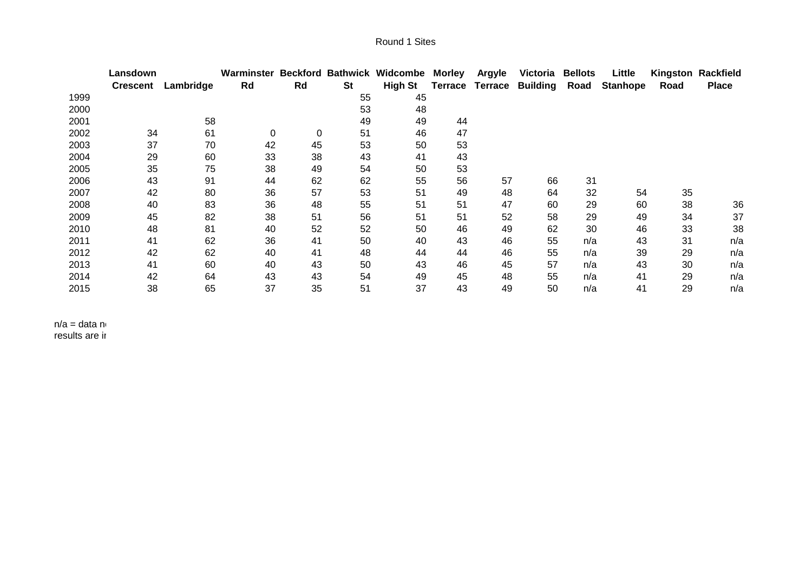|      | Lansdown        |           | Warminster Beckford Bathwick Widcombe |    |           |                | Morley         | Argyle  | Victoria        | <b>Bellots</b> | Little          |      | Kingston Rackfield |
|------|-----------------|-----------|---------------------------------------|----|-----------|----------------|----------------|---------|-----------------|----------------|-----------------|------|--------------------|
|      | <b>Crescent</b> | Lambridge | Rd                                    | Rd | <b>St</b> | <b>High St</b> | <b>Terrace</b> | Terrace | <b>Building</b> | Road           | <b>Stanhope</b> | Road | <b>Place</b>       |
| 1999 |                 |           |                                       |    | 55        | 45             |                |         |                 |                |                 |      |                    |
| 2000 |                 |           |                                       |    | 53        | 48             |                |         |                 |                |                 |      |                    |
| 2001 |                 | 58        |                                       |    | 49        | 49             | 44             |         |                 |                |                 |      |                    |
| 2002 | 34              | 61        | 0                                     | 0  | 51        | 46             | 47             |         |                 |                |                 |      |                    |
| 2003 | 37              | 70        | 42                                    | 45 | 53        | 50             | 53             |         |                 |                |                 |      |                    |
| 2004 | 29              | 60        | 33                                    | 38 | 43        | 41             | 43             |         |                 |                |                 |      |                    |
| 2005 | 35              | 75        | 38                                    | 49 | 54        | 50             | 53             |         |                 |                |                 |      |                    |
| 2006 | 43              | 91        | 44                                    | 62 | 62        | 55             | 56             | 57      | 66              | 31             |                 |      |                    |
| 2007 | 42              | 80        | 36                                    | 57 | 53        | 51             | 49             | 48      | 64              | 32             | 54              | 35   |                    |
| 2008 | 40              | 83        | 36                                    | 48 | 55        | 51             | 51             | 47      | 60              | 29             | 60              | 38   | 36                 |
| 2009 | 45              | 82        | 38                                    | 51 | 56        | 51             | 51             | 52      | 58              | 29             | 49              | 34   | 37                 |
| 2010 | 48              | 81        | 40                                    | 52 | 52        | 50             | 46             | 49      | 62              | 30             | 46              | 33   | 38                 |
| 2011 | 41              | 62        | 36                                    | 41 | 50        | 40             | 43             | 46      | 55              | n/a            | 43              | 31   | n/a                |
| 2012 | 42              | 62        | 40                                    | 41 | 48        | 44             | 44             | 46      | 55              | n/a            | 39              | 29   | n/a                |
| 2013 | 41              | 60        | 40                                    | 43 | 50        | 43             | 46             | 45      | 57              | n/a            | 43              | 30   | n/a                |
| 2014 | 42              | 64        | 43                                    | 43 | 54        | 49             | 45             | 48      | 55              | n/a            | 41              | 29   | n/a                |
| 2015 | 38              | 65        | 37                                    | 35 | 51        | 37             | 43             | 49      | 50              | n/a            | 41              | 29   | n/a                |

 $n/a =$  data no results are ir